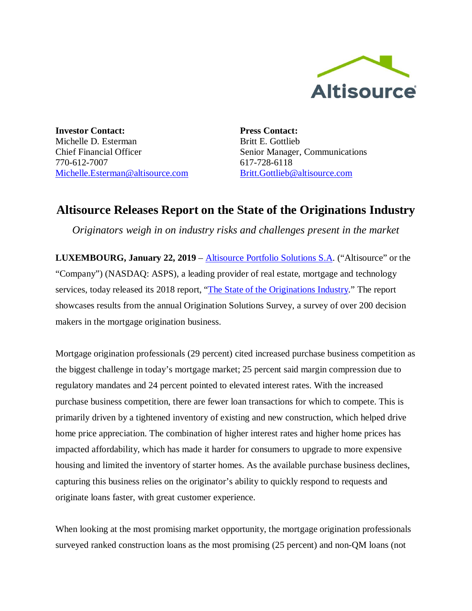

**Investor Contact:** Michelle D. Esterman Chief Financial Officer 770-612-7007 Michelle.Esterman@altisource.com **Press Contact:** Britt E. Gottlieb Senior Manager, Communications 617-728-6118 Britt.Gottlieb@altisource.com

## **Altisource Releases Report on the State of the Originations Industry**

*Originators weigh in on industry risks and challenges present in the market*

**LUXEMBOURG, January 22, 2019** – Altisource Portfolio Solutions S.A. ("Altisource" or the "Company") (NASDAQ: ASPS), a leading provider of real estate, mortgage and technology services, today released its 2018 report, "The State of the Originations Industry." The report showcases results from the annual Origination Solutions Survey, a survey of over 200 decision makers in the mortgage origination business.

Mortgage origination professionals (29 percent) cited increased purchase business competition as the biggest challenge in today's mortgage market; 25 percent said margin compression due to regulatory mandates and 24 percent pointed to elevated interest rates. With the increased purchase business competition, there are fewer loan transactions for which to compete. This is primarily driven by a tightened inventory of existing and new construction, which helped drive home price appreciation. The combination of higher interest rates and higher home prices has impacted affordability, which has made it harder for consumers to upgrade to more expensive housing and limited the inventory of starter homes. As the available purchase business declines, capturing this business relies on the originator's ability to quickly respond to requests and originate loans faster, with great customer experience.

When looking at the most promising market opportunity, the mortgage origination professionals surveyed ranked construction loans as the most promising (25 percent) and non-QM loans (not